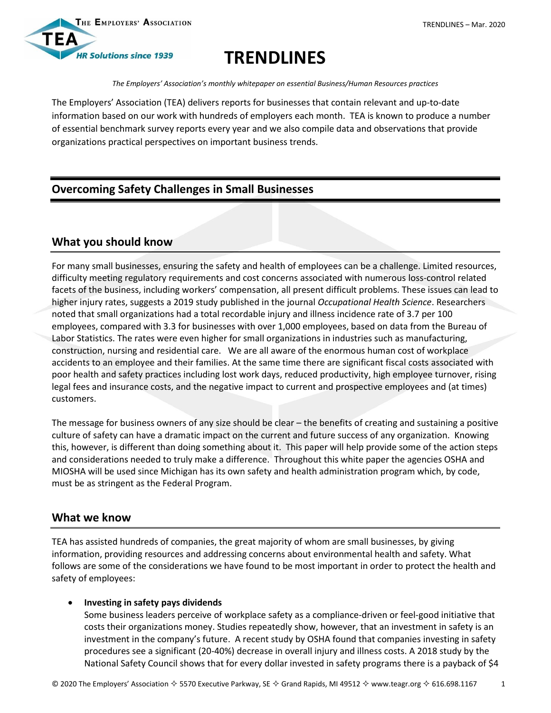

# **TRENDLINES**

*The Employers' Association's monthly whitepaper on essential Business/Human Resources practices*

The Employers' Association (TEA) delivers reports for businesses that contain relevant and up-to-date information based on our work with hundreds of employers each month. TEA is known to produce a number of essential benchmark survey reports every year and we also compile data and observations that provide organizations practical perspectives on important business trends.

# **Overcoming Safety Challenges in Small Businesses**

# **What you should know**

For many small businesses, ensuring the safety and health of employees can be a challenge. Limited resources, difficulty meeting regulatory requirements and cost concerns associated with numerous loss-control related facets of the business, including workers' compensation, all present difficult problems. These issues can lead to higher injury rates, suggests a 2019 study published in the journal *Occupational Health Science*. Researchers noted that small organizations had a total recordable injury and illness incidence rate of 3.7 per 100 employees, compared with 3.3 for businesses with over 1,000 employees, based on data from the Bureau of Labor Statistics. The rates were even higher for small organizations in industries such as manufacturing, construction, nursing and residential care. We are all aware of the enormous human cost of workplace accidents to an employee and their families. At the same time there are significant fiscal costs associated with poor health and safety practices including lost work days, reduced productivity, high employee turnover, rising legal fees and insurance costs, and the negative impact to current and prospective employees and (at times) customers.

The message for business owners of any size should be clear – the benefits of creating and sustaining a positive culture of safety can have a dramatic impact on the current and future success of any organization. Knowing this, however, is different than doing something about it. This paper will help provide some of the action steps and considerations needed to truly make a difference. Throughout this white paper the agencies OSHA and MIOSHA will be used since Michigan has its own safety and health administration program which, by code, must be as stringent as the Federal Program.

# **What we know**

TEA has assisted hundreds of companies, the great majority of whom are small businesses, by giving information, providing resources and addressing concerns about environmental health and safety. What follows are some of the considerations we have found to be most important in order to protect the health and safety of employees:

### **Investing in safety pays dividends**

Some business leaders perceive of workplace safety as a compliance-driven or feel-good initiative that costs their organizations money. Studies repeatedly show, however, that an investment in safety is an investment in the company's future. A recent study by OSHA found that companies investing in safety procedures see a significant (20-40%) decrease in overall injury and illness costs. A 2018 study by the National Safety Council shows that for every dollar invested in safety programs there is a payback of \$4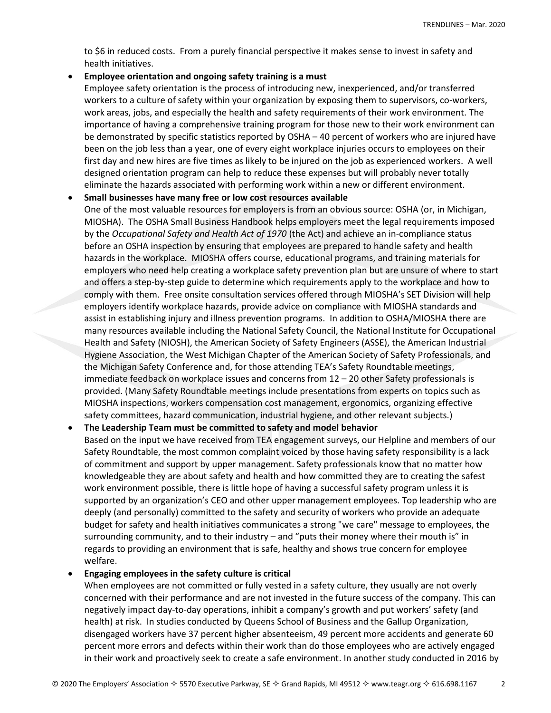to \$6 in reduced costs. From a purely financial perspective it makes sense to invest in safety and health initiatives.

#### **Employee orientation and ongoing safety training is a must**

Employee safety orientation is the process of introducing new, inexperienced, and/or transferred workers to a culture of safety within your organization by exposing them to supervisors, co-workers, work areas, jobs, and especially the health and safety requirements of their work environment. The importance of having a comprehensive training program for those new to their work environment can be demonstrated by specific statistics reported by OSHA – 40 percent of workers who are injured have been on the job less than a year, one of every eight workplace injuries occurs to employees on their first day and new hires are five times as likely to be injured on the job as experienced workers. A well designed orientation program can help to reduce these expenses but will probably never totally eliminate the hazards associated with performing work within a new or different environment.

#### **Small businesses have many free or low cost resources available**

One of the most valuable resources for employers is from an obvious source: OSHA (or, in Michigan, MIOSHA). The OSHA Small Business Handbook helps employers meet the legal requirements imposed by the *Occupational Safety and Health Act of 1970* (the Act) and achieve an in-compliance status before an OSHA inspection by ensuring that employees are prepared to handle safety and health hazards in the workplace. MIOSHA offers course, educational programs, and training materials for employers who need help creating a workplace safety prevention plan but are unsure of where to start and offers a step-by-step guide to determine which requirements apply to the workplace and how to comply with them. Free onsite consultation services offered through MIOSHA's SET Division will help employers identify workplace hazards, provide advice on compliance with MIOSHA standards and assist in establishing injury and illness prevention programs. In addition to OSHA/MIOSHA there are many resources available including the National Safety Council, the National Institute for Occupational Health and Safety (NIOSH), the American Society of Safety Engineers (ASSE), the American Industrial Hygiene Association, the West Michigan Chapter of the American Society of Safety Professionals, and the Michigan Safety Conference and, for those attending TEA's Safety Roundtable meetings, immediate feedback on workplace issues and concerns from 12 – 20 other Safety professionals is provided. (Many Safety Roundtable meetings include presentations from experts on topics such as MIOSHA inspections, workers compensation cost management, ergonomics, organizing effective safety committees, hazard communication, industrial hygiene, and other relevant subjects.)

#### **The Leadership Team must be committed to safety and model behavior**

Based on the input we have received from TEA engagement surveys, our Helpline and members of our Safety Roundtable, the most common complaint voiced by those having safety responsibility is a lack of commitment and support by upper management. Safety professionals know that no matter how knowledgeable they are about safety and health and how committed they are to creating the safest work environment possible, there is little hope of having a successful safety program unless it is supported by an organization's CEO and other upper management employees. Top leadership who are deeply (and personally) committed to the safety and security of workers who provide an adequate budget for safety and health initiatives communicates a strong "we care" message to employees, the surrounding community, and to their industry – and "puts their money where their mouth is" in regards to providing an environment that is safe, healthy and shows true concern for employee welfare.

#### **Engaging employees in the safety culture is critical**

When employees are not committed or fully vested in a safety culture, they usually are not overly concerned with their performance and are not invested in the future success of the company. This can negatively impact day-to-day operations, inhibit a company's growth and put workers' safety (and health) at risk. In studies conducted by Queens School of Business and the Gallup Organization, disengaged workers have 37 percent higher absenteeism, 49 percent more accidents and generate 60 percent more errors and defects within their work than do those employees who are actively engaged in their work and proactively seek to create a safe environment. In another study conducted in 2016 by